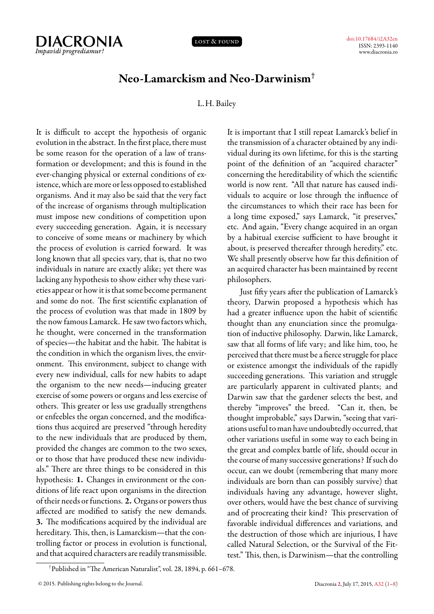## **Neo-Lamarckism and Neo-Darwinism†**

## L.H. Bailey

<span id="page-0-0"></span>It is difficult to accept the hypothesis of organic evolution in the abstract. In the first place, there must be some reason for the operation of a law of transformation or development; and this is found in the ever-changing physical or external conditions of existence, which are more or less opposed to established organisms. And it may also be said that the very fact of the increase of organisms through multiplication must impose new conditions of competition upon every succeeding generation. Again, it is necessary to conceive of some means or machinery by which the process of evolution is carried forward. It was long known that all species vary, that is, that no two individuals in nature are exactly alike; yet there was lacking any hypothesis to show either why these varieties appear or how it is that some become permanent and some do not. The first scientific explanation of the process of evolution was that made in 1809 by the now famous Lamarck. He saw two factors which, he thought, were concerned in the transformation of species—the habitat and the habit. The habitat is the condition in which the organism lives, the environment. This environment, subject to change with every new individual, calls for new habits to adapt the organism to the new needs—inducing greater exercise of some powers or organs and less exercise of others. This greater or less use gradually strengthens or enfeebles the organ concerned, and the modifications thus acquired are preserved "through heredity to the new individuals that are produced by them, provided the changes are common to the two sexes, or to those that have produced these new individuals." There are three things to be considered in this hypothesis: **1.** Changes in environment or the conditions of life react upon organisms in the direction of their needs or functions. **2.** Organs or powers thus affected are modified to satisfy the new demands. **3.** The modifications acquired by the individual are hereditary. This, then, is Lamarckism—that the controlling factor or process in evolution is functional, and that acquired characters are readily transmissible.

It is important that I still repeat Lamarck's belief in the transmission of a character obtained by any individual during its own lifetime, for this is the starting point of the definition of an "acquired character" concerning the hereditability of which the scientific world is now rent. "All that nature has caused individuals to acquire or lose through the influence of the circumstances to which their race has been for a long time exposed," says Lamarck, "it preserves," etc. And again, "Every change acquired in an organ by a habitual exercise sufficient to have brought it about, is preserved thereafter through heredity," etc. We shall presently observe how far this definition of an acquired character has been maintained by recent philosophers.

Just fifty years after the publication of Lamarck's theory, Darwin proposed a hypothesis which has had a greater influence upon the habit of scientific thought than any enunciation since the promulgation of inductive philosophy. Darwin, like Lamarck, saw that all forms of life vary; and like him, too, he perceived that there must be a fierce struggle for place or existence amongst the individuals of the rapidly succeeding generations. This variation and struggle are particularly apparent in cultivated plants; and Darwin saw that the gardener selects the best, and thereby "improves" the breed. "Can it, then, be thought improbable," says Darwin, "seeing that variations useful to man have undoubtedly occurred, that other variations useful in some way to each being in the great and complex battle of life, should occur in the course of many successive generations? If such do occur, can we doubt (remembering that many more individuals are born than can possibly survive) that individuals having any advantage, however slight, over others, would have the best chance of surviving and of procreating their kind? This preservation of favorable individual differences and variations, and the destruction of those which are injurious, I have called Natural Selection, or the Survival of the Fittest." This, then, is Darwinism—that the controlling

<sup>†</sup>Published in "The American Naturalist", vol. 28, 1894, p. 661–678.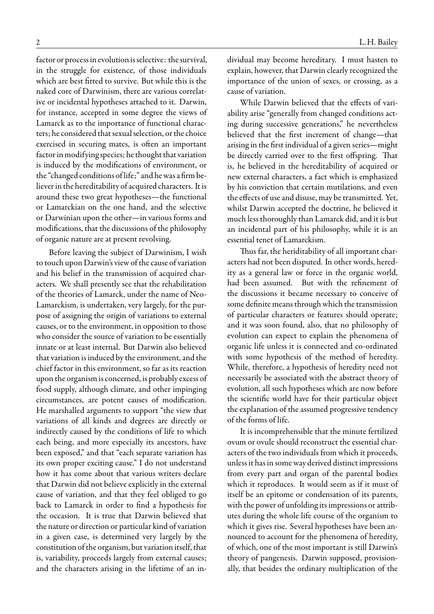factor or process in evolution is selective: the survival, in the struggle for existence, of those individuals which are best fitted to survive. But while this is the naked core of Darwinism, there are various correlative or incidental hypotheses attached to it. Darwin, for instance, accepted in some degree the views of Lamarck as to the importance of functional characters; he considered that sexual selection, or the choice exercised in securing mates, is often an important factor in modifying species; he thought that variation is induced by the modifications of environment, or the "changed conditions of life;" and he was a firm believer in the hereditability of acquired characters. It is around these two great hypotheses—the functional or Lamarckian on the one hand, and the selective or Darwinian upon the other—in various forms and modifications, that the discussions of the philosophy of organic nature are at present revolving.

Before leaving the subject of Darwinism, I wish to touch upon Darwin's view of the cause of variation and his belief in the transmission of acquired characters. We shall presently see that the rehabilitation of the theories of Lamarck, under the name of Neo-Lamarckism, is undertaken, very largely, for the purpose of assigning the origin of variations to external causes, or to the environment, in opposition to those who consider the source of variation to be essentially innate or at least internal. But Darwin also believed that variation is induced by the environment, and the chief factor in this environment, so far as its reaction upon the organism is concerned, is probably excess of food supply, although climate, and other impinging circumstances, are potent causes of modification. He marshalled arguments to support "the view that variations of all kinds and degrees are directly or indirectly caused by the conditions of life to which each being, and more especially its ancestors, have been exposed," and that "each separate variation has its own proper exciting cause." I do not understand how it has come about that various writers declare that Darwin did not believe explicitly in the external cause of variation, and that they feel obliged to go back to Lamarck in order to find a hypothesis for the occasion. It is true that Darwin believed that the nature or direction or particular kind of variation in a given case, is determined very largely by the constitution of the organism, but variation itself, that is, variability, proceeds largely from external causes; and the characters arising in the lifetime of an in-

2 L.H. Bailey

dividual may become hereditary. I must hasten to explain, however, that Darwin clearly recognized the importance of the union of sexes, or crossing, as a cause of variation.

While Darwin believed that the effects of variability arise "generally from changed conditions acting during successive generations," he nevertheless believed that the first increment of change—that arising in the first individual of a given series—might be directly carried over to the first offspring. That is, he believed in the hereditability of acquired or new external characters, a fact which is emphasized by his conviction that certain mutilations, and even the effects of use and disuse, may be transmitted. Yet, whilst Darwin accepted the doctrine, he believed it much less thoroughly than Lamarck did, and it is but an incidental part of his philosophy, while it is an essential tenet of Lamarckism.

Thus far, the heriditability of all important characters had not been disputed. In other words, heredity as a general law or force in the organic world, had been assumed. But with the refinement of the discussions it became necessary to conceive of some definite means through which the transmission of particular characters or features should operate; and it was soon found, also, that no philosophy of evolution can expect to explain the phenomena of organic life unless it is connected and co-ordinated with some hypothesis of the method of heredity. While, therefore, a hypothesis of heredity need not necessarily be associated with the abstract theory of evolution, all such hypotheses which are now before the scientific world have for their particular object the explanation of the assumed progressive tendency of the forms of life.

It is incomprehensible that the minute fertilized ovum or ovule should reconstruct the essential characters of the two individuals from which it proceeds, unless it has in some way derived distinct impressions from every part and organ of the parental bodies which it reproduces. It would seem as if it must of itself be an epitome or condensation of its parents, with the power of unfolding its impressions or attributes during the whole life course of the organism to which it gives rise. Several hypotheses have been announced to account for the phenomena of heredity, of which, one of the most important is still Darwin's theory of pangenesis. Darwin supposed, provisionally, that besides the ordinary multiplication of the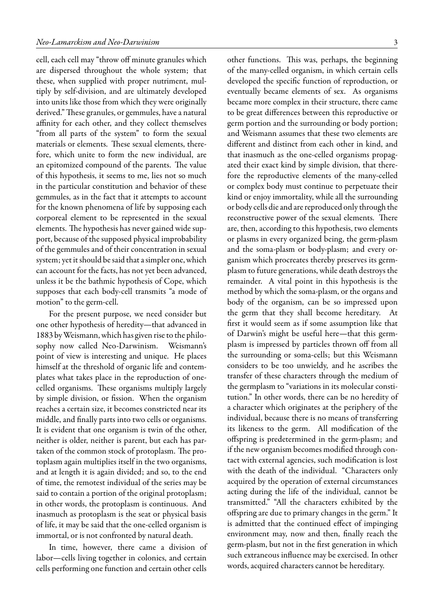cell, each cell may "throw off minute granules which are dispersed throughout the whole system; that these, when supplied with proper nutriment, multiply by self-division, and are ultimately developed into units like those from which they were originally derived."These granules, or gemmules, have a natural affinity for each other, and they collect themselves "from all parts of the system" to form the sexual materials or elements. These sexual elements, therefore, which unite to form the new individual, are an epitomized compound of the parents. The value of this hypothesis, it seems to me, lies not so much in the particular constitution and behavior of these gemmules, as in the fact that it attempts to account for the known phenomena of life by supposing each corporeal element to be represented in the sexual elements. The hypothesis has never gained wide support, because of the supposed physical improbability of the gemmules and of their concentration in sexual system; yet it should be said that a simpler one, which can account for the facts, has not yet been advanced, unless it be the bathmic hypothesis of Cope, which supposes that each body-cell transmits "a mode of motion" to the germ-cell.

For the present purpose, we need consider but one other hypothesis of heredity—that advanced in 1883 byWeismann, which has given rise to the philosophy now called Neo-Darwinism. Weismann's point of view is interesting and unique. He places himself at the threshold of organic life and contemplates what takes place in the reproduction of onecelled organisms. These organisms multiply largely by simple division, or fission. When the organism reaches a certain size, it becomes constricted near its middle, and finally parts into two cells or organisms. It is evident that one organism is twin of the other, neither is older, neither is parent, but each has partaken of the common stock of protoplasm. The protoplasm again multiplies itself in the two organisms, and at length it is again divided; and so, to the end of time, the remotest individual of the series may be said to contain a portion of the original protoplasm; in other words, the protoplasm is continuous. And inasmuch as protoplasm is the seat or physical basis of life, it may be said that the one-celled organism is immortal, or is not confronted by natural death.

In time, however, there came a division of labor—cells living together in colonies, and certain cells performing one function and certain other cells

other functions. This was, perhaps, the beginning of the many-celled organism, in which certain cells developed the specific function of reproduction, or eventually became elements of sex. As organisms became more complex in their structure, there came to be great differences between this reproductive or germ portion and the surrounding or body portion; and Weismann assumes that these two elements are different and distinct from each other in kind, and that inasmuch as the one-celled organisms propagated their exact kind by simple division, that therefore the reproductive elements of the many-celled or complex body must continue to perpetuate their kind or enjoy immortality, while all the surrounding or body cells die and are reproduced only through the reconstructive power of the sexual elements. There are, then, according to this hypothesis, two elements or plasms in every organized being, the germ-plasm and the soma-plasm or body-plasm; and every organism which procreates thereby preserves its germplasm to future generations, while death destroys the remainder. A vital point in this hypothesis is the method by which the soma-plasm, or the organs and body of the organism, can be so impressed upon the germ that they shall become hereditary. At first it would seem as if some assumption like that of Darwin's might be useful here—that this germplasm is impressed by particles thrown off from all the surrounding or soma-cells; but this Weismann considers to be too unwieldy, and he ascribes the transfer of these characters through the medium of the germplasm to "variations in its molecular constitution." In other words, there can be no heredity of a character which originates at the periphery of the individual, because there is no means of transferring its likeness to the germ. All modification of the offspring is predetermined in the germ-plasm; and if the new organism becomes modified through contact with external agencies, such modification is lost with the death of the individual. "Characters only acquired by the operation of external circumstances acting during the life of the individual, cannot be transmitted." "All the characters exhibited by the offspring are due to primary changes in the germ." It is admitted that the continued effect of impinging environment may, now and then, finally reach the germ-plasm, but not in the first generation in which such extraneous influence may be exercised. In other words, acquired characters cannot be hereditary.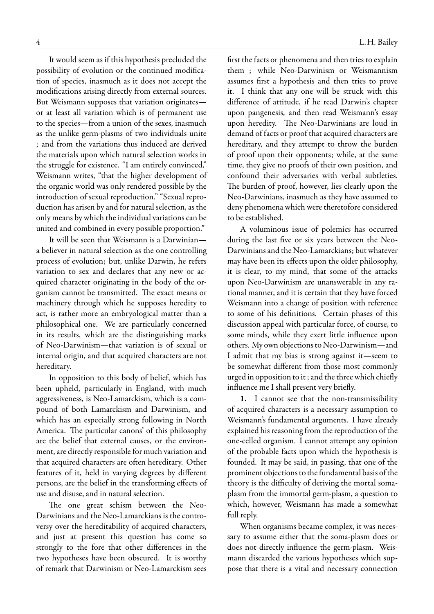It would seem as if this hypothesis precluded the possibility of evolution or the continued modification of species, inasmuch as it does not accept the modifications arising directly from external sources. But Weismann supposes that variation originates or at least all variation which is of permanent use to the species—from a union of the sexes, inasmuch as the unlike germ-plasms of two individuals unite ; and from the variations thus induced are derived the materials upon which natural selection works in the struggle for existence. "I am entirely convinced," Weismann writes, "that the higher development of the organic world was only rendered possible by the introduction of sexual reproduction." "Sexual reproduction has arisen by and for natural selection, as the only means by which the individual variations can be united and combined in every possible proportion."

It will be seen that Weismann is a Darwinian a believer in natural selection as the one controlling process of evolution; but, unlike Darwin, he refers variation to sex and declares that any new or acquired character originating in the body of the organism cannot be transmitted. The exact means or machinery through which he supposes heredity to act, is rather more an embryological matter than a philosophical one. We are particularly concerned in its results, which are the distinguishing marks of Neo-Darwinism—that variation is of sexual or internal origin, and that acquired characters are not hereditary.

In opposition to this body of belief, which has been upheld, particularly in England, with much aggressiveness, is Neo-Lamarckism, which is a compound of both Lamarckism and Darwinism, and which has an especially strong following in North America. The particular canons' of this philosophy are the belief that external causes, or the environment, are directly responsible for much variation and that acquired characters are often hereditary. Other features of it, held in varying degrees by different persons, are the belief in the transforming effects of use and disuse, and in natural selection.

The one great schism between the Neo-Darwinians and the Neo-Lamarckians is the controversy over the hereditability of acquired characters, and just at present this question has come so strongly to the fore that other differences in the two hypotheses have been obscured. It is worthy of remark that Darwinism or Neo-Lamarckism sees

first the facts or phenomena and then tries to explain them ; while Neo-Darwinism or Weismannism assumes first a hypothesis and then tries to prove it. I think that any one will be struck with this difference of attitude, if he read Darwin's chapter upon pangenesis, and then read Weismann's essay upon heredity. The Neo-Darwinians are loud in demand of facts or proof that acquired characters are hereditary, and they attempt to throw the burden of proof upon their opponents; while, at the same time, they give no proofs of their own position, and confound their adversaries with verbal subtleties. The burden of proof, however, lies clearly upon the Neo-Darwinians, inasmuch as they have assumed to deny phenomena which were theretofore considered to be established.

A voluminous issue of polemics has occurred during the last five or six years between the Neo-Darwinians and the Neo-Lamarckians; but whatever may have been its effects upon the older philosophy, it is clear, to my mind, that some of the attacks upon Neo-Darwinism are unanswerable in any rational manner, and it is certain that they have forced Weismann into a change of position with reference to some of his definitions. Certain phases of this discussion appeal with particular force, of course, to some minds, while they exert little influence upon others. My own objections to Neo-Darwinism—and I admit that my bias is strong against it—seem to be somewhat different from those most commonly urged in opposition to it ; and the three which chiefly influence me I shall present very briefly.

**1.** I cannot see that the non-transmissibility of acquired characters is a necessary assumption to Weismann's fundamental arguments. I have already explained his reasoning from the reproduction of the one-celled organism. I cannot attempt any opinion of the probable facts upon which the hypothesis is founded. It may be said, in passing, that one of the prominent objections to the fundamental basis of the theory is the difficulty of deriving the mortal somaplasm from the immortal germ-plasm, a question to which, however, Weismann has made a somewhat full reply.

When organisms became complex, it was necessary to assume either that the soma-plasm does or does not directly influence the germ-plasm. Weismann discarded the various hypotheses which suppose that there is a vital and necessary connection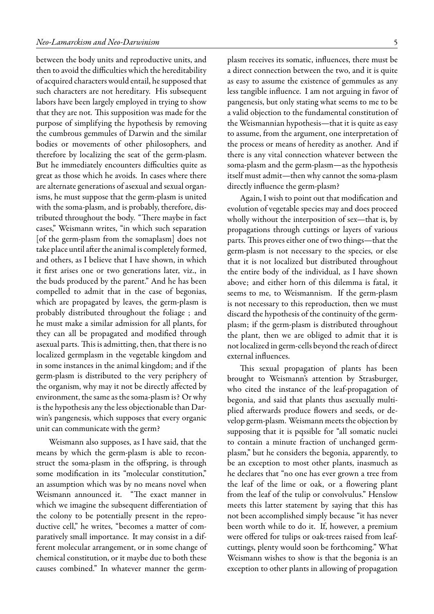between the body units and reproductive units, and then to avoid the difficulties which the hereditability of acquired characters would entail, he supposed that such characters are not hereditary. His subsequent labors have been largely employed in trying to show that they are not. This supposition was made for the purpose of simplifying the hypothesis by removing the cumbrous gemmules of Darwin and the similar bodies or movements of other philosophers, and therefore by localizing the seat of the germ-plasm. But he immediately encounters difficulties quite as great as those which he avoids. In cases where there are alternate generations of asexual and sexual organisms, he must suppose that the germ-plasm is united with the soma-plasm, and is probably, therefore, distributed throughout the body. "There maybe in fact cases," Weismann writes, "in which such separation [of the germ-plasm from the somaplasm] does not take place until after the animal is completely formed, and others, as I believe that I have shown, in which it first arises one or two generations later, viz., in the buds produced by the parent." And he has been compelled to admit that in the case of begonias, which are propagated by leaves, the germ-plasm is probably distributed throughout the foliage ; and he must make a similar admission for all plants, for they can all be propagated and modified through asexual parts. This is admitting, then, that there is no localized germplasm in the vegetable kingdom and in some instances in the animal kingdom; and if the germ-plasm is distributed to the very periphery of the organism, why may it not be directly affected by environment, the same as the soma-plasm is? Or why is the hypothesis any the less objectionable than Darwin's pangenesis, which supposes that every organic unit can communicate with the germ?

Weismann also supposes, as I have said, that the means by which the germ-plasm is able to reconstruct the soma-plasm in the offspring, is through some modification in its "molecular constitution," an assumption which was by no means novel when Weismann announced it. "The exact manner in which we imagine the subsequent differentiation of the colony to be potentially present in the reproductive cell," he writes, "becomes a matter of comparatively small importance. It may consist in a different molecular arrangement, or in some change of chemical constitution, or it maybe due to both these causes combined." In whatever manner the germplasm receives its somatic, influences, there must be a direct connection between the two, and it is quite as easy to assume the existence of gemmules as any less tangible influence. I am not arguing in favor of pangenesis, but only stating what seems to me to be a valid objection to the fundamental constitution of the Weismannian hypothesis—that it is quite as easy to assume, from the argument, one interpretation of the process or means of heredity as another. And if there is any vital connection whatever between the soma-plasm and the germ-plasm—as the hypothesis itself must admit—then why cannot the soma-plasm directly influence the germ-plasm?

Again, I wish to point out that modification and evolution of vegetable species may and does proceed wholly without the interposition of sex—that is, by propagations through cuttings or layers of various parts. This proves either one of two things—that the germ-plasm is not necessary to the species, or else that it is not localized but distributed throughout the entire body of the individual, as I have shown above; and either horn of this dilemma is fatal, it seems to me, to Weismannism. If the germ-plasm is not necessary to this reproduction, then we must discard the hypothesis of the continuity of the germplasm; if the germ-plasm is distributed throughout the plant, then we are obliged to admit that it is not localized in germ-cells beyond the reach of direct external influences.

This sexual propagation of plants has been brought to Weismann's attention by Strasburger, who cited the instance of the leaf-propagation of begonia, and said that plants thus asexually multiplied afterwards produce flowers and seeds, or develop germ-plasm. Weismann meets the objection by supposing that it is pqssible for "all somatic nuclei to contain a minute fraction of unchanged germplasm," but he considers the begonia, apparently, to be an exception to most other plants, inasmuch as he declares that "no one has ever grown a tree from the leaf of the lime or oak, or a flowering plant from the leaf of the tulip or convolvulus." Henslow meets this latter statement by saying that this has not been accomplished simply because "it has never been worth while to do it. If, however, a premium were offered for tulips or oak-trees raised from leafcuttings, plenty would soon be forthcoming." What Weismann wishes to show is that the begonia is an exception to other plants in allowing of propagation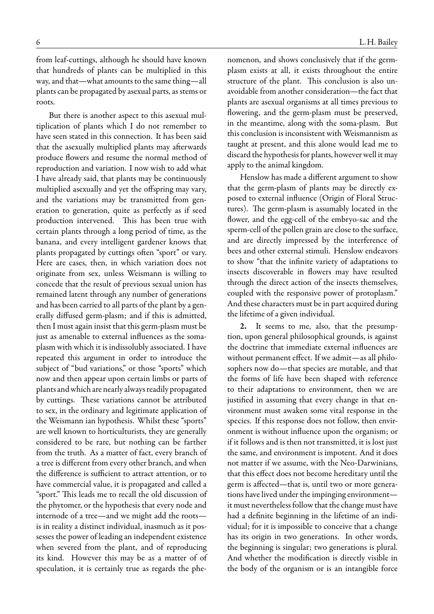from leaf-cuttings, although he should have known that hundreds of plants can be multiplied in this way, and that—what amounts to the same thing—all plants can be propagated by asexual parts, as stems or roots.

But there is another aspect to this asexual multiplication of plants which I do not remember to have seen stated in this connection. It has been said that the asexually multiplied plants may afterwards produce flowers and resume the normal method of reproduction and variation. I now wish to add what I have already said, that plants may be continuously multiplied asexually and yet the offspring may vary, and the variations may be transmitted from generation to generation, quite as perfectly as if seed production intervened. This has been true with certain plants through a long period of time, as the banana, and every intelligent gardener knows that plants propagated by cuttings often "sport" or vary. Here are cases, then, in which variation does not originate from sex, unless Weismann is willing to concede that the result of previous sexual union has remained latent through any number of generations and has been carried to all parts of the plant by a generally diffused germ-plasm; and if this is admitted, then I must again insist that this germ-plasm must be just as amenable to external influences as the somaplasm with which it is indissolubly associated. I have repeated this argument in order to introduce the subject of "bud variations," or those "sports" which now and then appear upon certain limbs or parts of plants and which are nearly always readily propagated by cuttings. These variations cannot be attributed to sex, in the ordinary and legitimate application of the Weismann ian hypothesis. Whilst these "sports" are well known to horticulturists, they are generally considered to be rare, but nothing can be farther from the truth. As a matter of fact, every branch of a tree is different from every other branch, and when the difference is sufficient to attract attention, or to have commercial value, it is propagated and called a "sport." This leads me to recall the old discussion of the phytomer, or the hypothesis that every node and internode of a tree—and we might add the roots is in reality a distinct individual, inasmuch as it possesses the power of leading an independent existence when severed from the plant, and of reproducing its kind. However this may be as a matter of of speculation, it is certainly true as regards the phenomenon, and shows conclusively that if the germplasm exists at all, it exists throughout the entire structure of the plant. This conclusion is also unavoidable from another consideration—the fact that plants are asexual organisms at all times previous to flowering, and the germ-plasm must be preserved, in the meantime, along with the soma-plasm. But this conclusion is inconsistent with Weismannism as taught at present, and this alone would lead me to discard the hypothesis for plants, however well it may apply to the animal kingdom.

Henslow has made a different argument to show that the germ-plasm of plants may be directly exposed to external influence (Origin of Floral Structures). The germ-plasm is assumably located in the flower, and the egg-cell of the embryo-sac and the sperm-cell of the pollen grain are close to the surface, and are directly impressed by the interference of bees and other external stimuli. Henslow endeavors to show "that the infinite variety of adaptations to insects discoverable in flowers may have resulted through the direct action of the insects themselves, coupled with the responsive power of protoplasm." And these characters must be in part acquired during the lifetime of a given individual.

**2.** It seems to me, also, that the presumption, upon general philosophical grounds, is against the doctrine that immediate external influences are without permanent effect. If we admit—as all philosophers now do—that species are mutable, and that the forms of life have been shaped with reference to their adaptations to environment, then we are justified in assuming that every change in that environment must awaken some vital response in the species. If this response does not follow, then environment is without influence upon the organism; or if it follows and is then not transmitted, it is lost just the same, and environment is impotent. And it does not matter if we assume, with the Neo-Darwinians, that this effect does not become hereditary until the germ is affected—that is, until two or more generations have lived under the impinging environment it must nevertheless follow that the change must have had a definite beginning in the lifetime of an individual; for it is impossible to conceive that a change has its origin in two generations. In other words, the beginning is singular; two generations is plural. And whether the modification is directly visible in the body of the organism or is an intangible force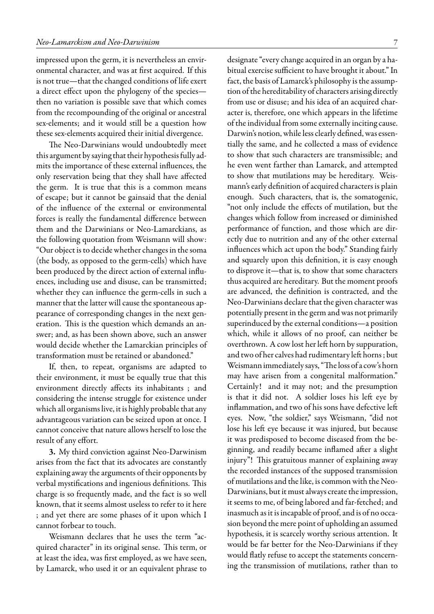impressed upon the germ, it is nevertheless an environmental character, and was at first acquired. If this is not true—that the changed conditions of life exert a direct effect upon the phylogeny of the species then no variation is possible save that which comes from the recompounding of the original or ancestral sex-elements; and it would still be a question how these sex-elements acquired their initial divergence.

The Neo-Darwinians would undoubtedly meet this argument by saying that their hypothesis fully admits the importance of these external influences, the only reservation being that they shall have affected the germ. It is true that this is a common means of escape; but it cannot be gainsaid that the denial of the influence of the external or environmental forces is really the fundamental difference between them and the Darwinians or Neo-Lamarckians, as the following quotation from Weismann will show: "Our object is to decide whether changes in the soma (the body, as opposed to the germ-cells) which have been produced by the direct action of external influences, including use and disuse, can be transmitted; whether they can influence the germ-cells in such a manner that the latter will cause the spontaneous appearance of corresponding changes in the next generation. This is the question which demands an answer; and, as has been shown above, such an answer would decide whether the Lamarckian principles of transformation must be retained or abandoned."

If, then, to repeat, organisms are adapted to their environment, it must be equally true that this environment directly affects its inhabitants ; and considering the intense struggle for existence under which all organisms live, it is highly probable that any advantageous variation can be seized upon at once. I cannot conceive that nature allows herself to lose the result of any effort.

**3.** My third conviction against Neo-Darwinism arises from the fact that its advocates are constantly explaining away the arguments of their opponents by verbal mystifications and ingenious definitions. This charge is so frequently made, and the fact is so well known, that it seems almost useless to refer to it here ; and yet there are some phases of it upon which I cannot forbear to touch.

Weismann declares that he uses the term "acquired character" in its original sense. This term, or at least the idea, was first employed, as we have seen, by Lamarck, who used it or an equivalent phrase to designate "every change acquired in an organ by a habitual exercise sufficient to have brought it about." In fact, the basis of Lamarck's philosophy is the assumption of the hereditability of characters arising directly from use or disuse; and his idea of an acquired character is, therefore, one which appears in the lifetime of the individual from some externally inciting cause. Darwin's notion, while less clearly defined, was essentially the same, and he collected a mass of evidence to show that such characters are transmissible; and he even went farther than Lamarck, and attempted to show that mutilations may be hereditary. Weismann's early definition of acquired characters is plain enough. Such characters, that is, the somatogenic, "not only include the effects of mutilation, but the changes which follow from increased or diminished performance of function, and those which are directly due to nutrition and any of the other external influences which act upon the body." Standing fairly and squarely upon this definition, it is easy enough to disprove it—that is, to show that some characters thus acquired are hereditary. But the moment proofs are advanced, the definition is contracted, and the Neo-Darwinians declare that the given character was potentially present in the germ and was not primarily superinduced by the external conditions—a position which, while it allows of no proof, can neither be overthrown. A cow lost her left horn by suppuration, and two of her calves had rudimentary left horns ; but Weismann immediately says, "The loss of a cow's horn may have arisen from a congenital malformation." Certainly! and it may not; and the presumption is that it did not. A soldier loses his left eye by inflammation, and two of his sons have defective left eyes. Now, "the soldier," says Weismann, "did not lose his left eye because it was injured, but because it was predisposed to become diseased from the beginning, and readily became inflamed after a slight injury"! This gratuitous manner of explaining away the recorded instances of the supposed transmission of mutilations and the like, is common with the Neo-Darwinians, but it must always create the impression, it seems to me, of being labored and far-fetched; and inasmuch as it is incapable of proof, and is of no occasion beyond the mere point of upholding an assumed hypothesis, it is scarcely worthy serious attention. It would be far better for the Neo-Darwinians if they would flatly refuse to accept the statements concerning the transmission of mutilations, rather than to